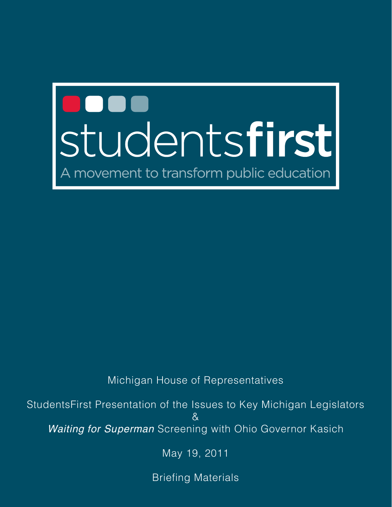# <span id="page-0-2"></span><span id="page-0-1"></span><span id="page-0-0"></span>**Studentsfirst** movement to transform public education

<span id="page-0-3"></span>Michigan House of Representatives

StudentsFirst Presentation of the Issues to Key Michigan Legislators & *Waiting for Superman* Screening with Ohio Governor Kasich

May 19, 2011

Briefing Materials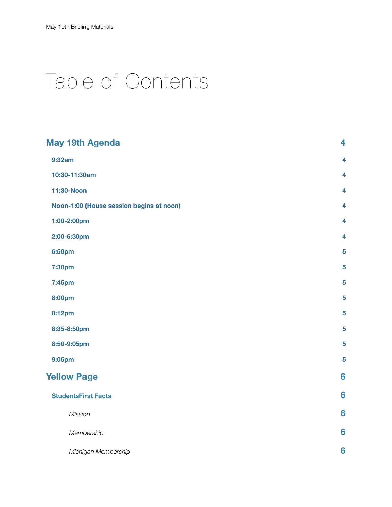# Table of Contents

| <b>May 19th Agenda</b>                   | 4                       |
|------------------------------------------|-------------------------|
| 9:32am                                   | $\overline{\mathbf{4}}$ |
| 10:30-11:30am                            | $\overline{\mathbf{4}}$ |
| 11:30-Noon                               | $\overline{\mathbf{4}}$ |
| Noon-1:00 (House session begins at noon) | $\overline{\mathbf{4}}$ |
| 1:00-2:00pm                              | $\overline{\mathbf{4}}$ |
| 2:00-6:30pm                              | $\overline{\mathbf{4}}$ |
| 6:50pm                                   | 5                       |
| 7:30pm                                   | $5\phantom{.0}$         |
| 7:45pm                                   | 5                       |
| <b>8:00pm</b>                            | 5                       |
| 8:12pm                                   | 5                       |
| 8:35-8:50pm                              | 5                       |
| 8:50-9:05pm                              | 5                       |
| 9:05pm                                   | 5                       |
| <b>Yellow Page</b>                       | 6                       |
| <b>StudentsFirst Facts</b>               | 6                       |
| <b>Mission</b>                           | 6                       |
| Membership                               | 6                       |
| Michigan Membership                      | 6                       |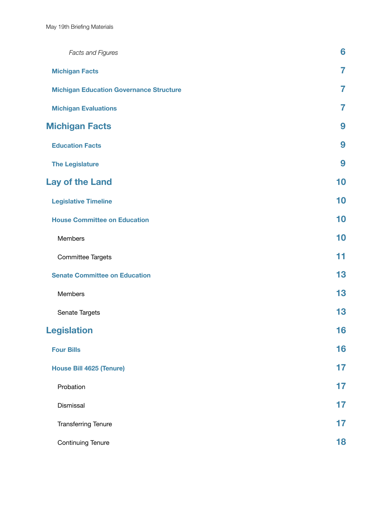| <b>Facts and Figures</b>                       | 6              |
|------------------------------------------------|----------------|
| <b>Michigan Facts</b>                          | $\overline{7}$ |
| <b>Michigan Education Governance Structure</b> | 7              |
| <b>Michigan Evaluations</b>                    | 7              |
| <b>Michigan Facts</b>                          | 9              |
| <b>Education Facts</b>                         | 9              |
| <b>The Legislature</b>                         | 9              |
| Lay of the Land                                | 10             |
| <b>Legislative Timeline</b>                    | 10             |
| <b>House Committee on Education</b>            | 10             |
| Members                                        | 10             |
| <b>Committee Targets</b>                       | 11             |
| <b>Senate Committee on Education</b>           | 13             |
| Members                                        | 13             |
| Senate Targets                                 | 13             |
| <b>Legislation</b>                             | 16             |
| <b>Four Bills</b>                              | 16             |
| <b>House Bill 4625 (Tenure)</b>                | 17             |
| Probation                                      | 17             |
| Dismissal                                      | 17             |
| <b>Transferring Tenure</b>                     | 17             |
| <b>Continuing Tenure</b>                       | 18             |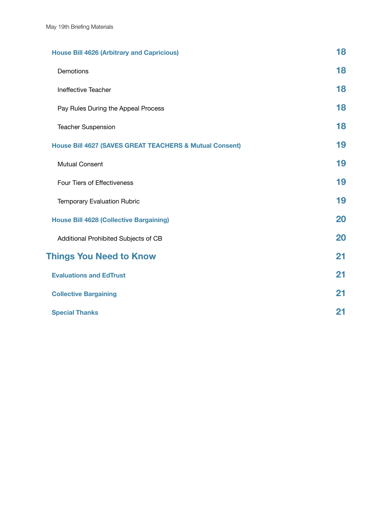| <b>House Bill 4626 (Arbitrary and Capricious)</b>                  | 18 |
|--------------------------------------------------------------------|----|
| Demotions                                                          | 18 |
| Ineffective Teacher                                                | 18 |
| Pay Rules During the Appeal Process                                | 18 |
| <b>Teacher Suspension</b>                                          | 18 |
| <b>House Bill 4627 (SAVES GREAT TEACHERS &amp; Mutual Consent)</b> | 19 |
| <b>Mutual Consent</b>                                              | 19 |
| <b>Four Tiers of Effectiveness</b>                                 | 19 |
| <b>Temporary Evaluation Rubric</b>                                 | 19 |
| <b>House Bill 4628 (Collective Bargaining)</b>                     | 20 |
| Additional Prohibited Subjects of CB                               | 20 |
| <b>Things You Need to Know</b>                                     | 21 |
| <b>Evaluations and EdTrust</b>                                     | 21 |
| <b>Collective Bargaining</b>                                       | 21 |
| <b>Special Thanks</b>                                              | 21 |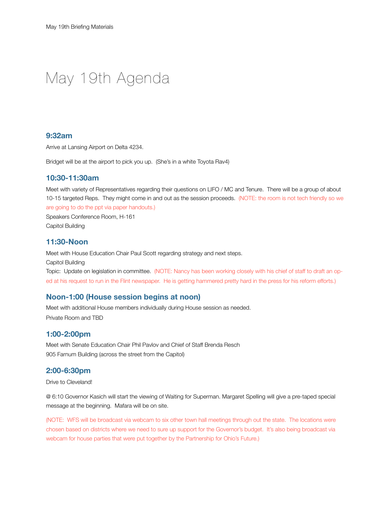# <span id="page-4-0"></span>May 19th Agenda

#### <span id="page-4-1"></span>**9:32am**

Arrive at Lansing Airport on Delta 4234.

Bridget will be at the airport to pick you up. (She's in a white Toyota Rav4)

#### <span id="page-4-2"></span>**10:30-11:30am**

Meet with variety of Representatives regarding their questions on LIFO / MC and Tenure. There will be a group of about 10-15 targeted Reps. They might come in and out as the session proceeds. (NOTE: the room is not tech friendly so we are going to do the ppt via paper handouts.)

Speakers Conference Room, H-161 Capitol Building

#### <span id="page-4-3"></span>**11:30-Noon**

Meet with House Education Chair Paul Scott regarding strategy and next steps. Capitol Building Topic: Update on legislation in committee. (NOTE: Nancy has been working closely with his chief of staff to draft an oped at his request to run in the Flint newspaper. He is getting hammered pretty hard in the press for his reform efforts.)

#### <span id="page-4-4"></span>**Noon-1:00 (House session begins at noon)**

Meet with additional House members individually during House session as needed. Private Room and TBD

#### <span id="page-4-5"></span>**1:00-2:00pm**

Meet with Senate Education Chair Phil Pavlov and Chief of Staff Brenda Resch 905 Farnum Building (across the street from the Capitol)

#### <span id="page-4-6"></span>**2:00-6:30pm**

Drive to Cleveland!

@ 6:10 Governor Kasich will start the viewing of Waiting for Superman. Margaret Spelling will give a pre-taped special message at the beginning. Mafara will be on site.

(NOTE: WFS will be broadcast via webcam to six other town hall meetings through out the state. The locations were chosen based on districts where we need to sure up support for the Governor's budget. It's also being broadcast via webcam for house parties that were put together by the Partnership for Ohio's Future.)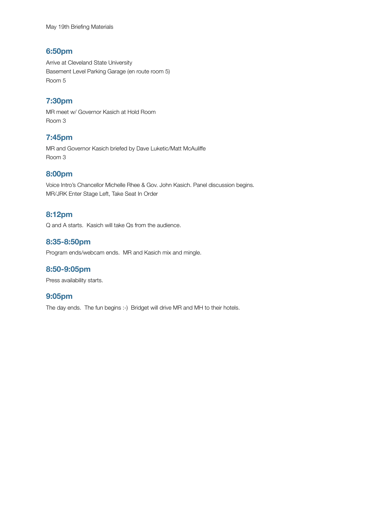#### <span id="page-5-0"></span>**6:50pm**

Arrive at Cleveland State University Basement Level Parking Garage (en route room 5) Room 5

### <span id="page-5-1"></span>**7:30pm**

MR meet w/ Governor Kasich at Hold Room Room 3

#### <span id="page-5-2"></span>**7:45pm**

MR and Governor Kasich briefed by Dave Luketic/Matt McAuliffe Room 3

#### <span id="page-5-3"></span>**8:00pm**

Voice Intro's Chancellor Michelle Rhee & Gov. John Kasich. Panel discussion begins. MR/JRK Enter Stage Left, Take Seat In Order

#### <span id="page-5-4"></span>**8:12pm**

Q and A starts. Kasich will take Qs from the audience.

#### <span id="page-5-5"></span>**8:35-8:50pm**

Program ends/webcam ends. MR and Kasich mix and mingle.

#### <span id="page-5-6"></span>**8:50-9:05pm**

Press availability starts.

#### <span id="page-5-7"></span>**9:05pm**

The day ends. The fun begins :-) Bridget will drive MR and MH to their hotels.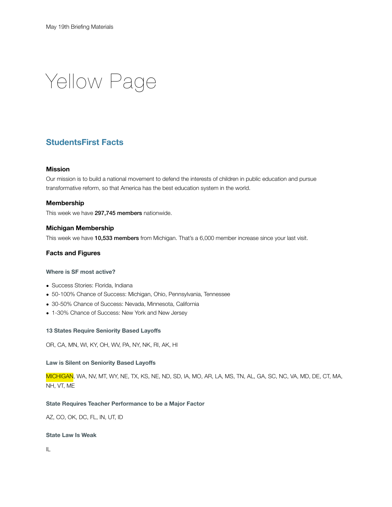<span id="page-6-0"></span>Yellow Page

## <span id="page-6-1"></span>**StudentsFirst Facts**

#### <span id="page-6-2"></span>**Mission**

Our mission is to build a national movement to defend the interests of children in public education and pursue transformative reform, so that America has the best education system in the world.

#### <span id="page-6-3"></span>**Membership**

This week we have 297,745 members nationwide.

#### <span id="page-6-4"></span>**Michigan Membership**

This week we have 10,533 members from Michigan. That's a 6,000 member increase since your last visit.

#### <span id="page-6-5"></span>**Facts and Figures**

#### **Where is SF most active?**

- Success Stories: Florida, Indiana
- 50-100% Chance of Success: Michigan, Ohio, Pennsylvania, Tennessee
- 30-50% Chance of Success: Nevada, Minnesota, California
- 1-30% Chance of Success: New York and New Jersey

#### **13 States Require Seniority Based Layoffs**

OR, CA, MN, WI, KY, OH, WV, PA, NY, NK, RI, AK, HI

#### **Law is Silent on Seniority Based Layoffs**

MICHIGAN, WA, NV, MT, WY, NE, TX, KS, NE, ND, SD, IA, MO, AR, LA, MS, TN, AL, GA, SC, NC, VA, MD, DE, CT, MA, NH, VT, ME

#### **State Requires Teacher Performance to be a Major Factor**

AZ, CO, OK, DC, FL, IN, UT, ID

#### **State Law Is Weak**

IL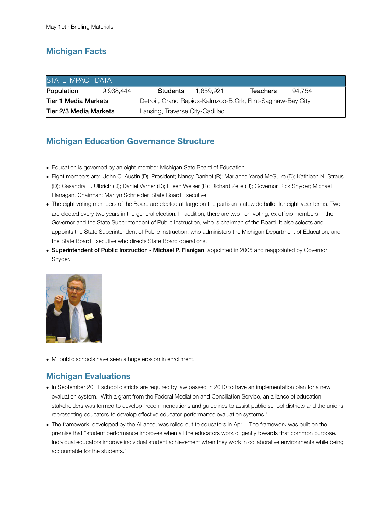# <span id="page-7-0"></span>**Michigan Facts**

| <b>STATE IMPACT DATA</b> |           |                                                             |           |                 |        |  |
|--------------------------|-----------|-------------------------------------------------------------|-----------|-----------------|--------|--|
| Population               | 9.938.444 | <b>Students</b>                                             | 1.659.921 | <b>Teachers</b> | 94.754 |  |
| Tier 1 Media Markets     |           | Detroit, Grand Rapids-Kalmzoo-B.Crk, Flint-Saginaw-Bay City |           |                 |        |  |
| Tier 2/3 Media Markets   |           | Lansing, Traverse City-Cadillac                             |           |                 |        |  |

# <span id="page-7-1"></span>**Michigan Education Governance Structure**

- Education is governed by an eight member Michigan Sate Board of Education.
- Eight members are: John C. Austin (D), President; Nancy Danhof (R); Marianne Yared McGuire (D); Kathleen N. Straus (D); Casandra E. Ulbrich (D); Daniel Varner (D); Eileen Weiser (R); Richard Zeile (R); Governor Rick Snyder; Michael Flanagan, Chairman; Marilyn Schneider, State Board Executive
- The eight voting members of the Board are elected at-large on the partisan statewide ballot for eight-year terms. Two are elected every two years in the general election. In addition, there are two non-voting, ex officio members -- the Governor and the State Superintendent of Public Instruction, who is chairman of the Board. It also selects and appoints the State Superintendent of Public Instruction, who administers the Michigan Department of Education, and the State Board Executive who directs State Board operations.
- Superintendent of Public Instruction Michael P. Flanigan, appointed in 2005 and reappointed by Governor Snyder.



• MI public schools have seen a huge erosion in enrollment.

## <span id="page-7-2"></span>**Michigan Evaluations**

- In September 2011 school districts are required by law passed in 2010 to have an implementation plan for a new evaluation system. With a grant from the Federal Mediation and Conciliation Service, an alliance of education stakeholders was formed to develop "recommendations and guidelines to assist public school districts and the unions representing educators to develop effective educator performance evaluation systems."
- The framework, developed by the Alliance, was rolled out to educators in April. The framework was built on the premise that "student performance improves when all the educators work diligently towards that common purpose. Individual educators improve individual student achievement when they work in collaborative environments while being accountable for the students."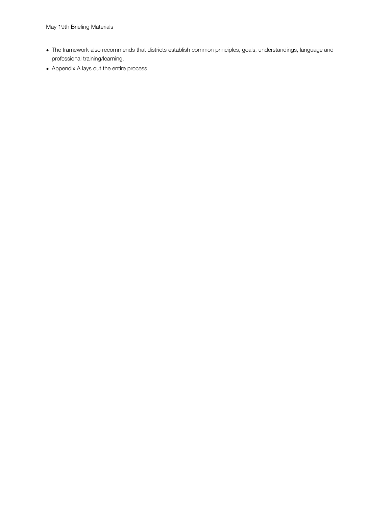- The framework also recommends that districts establish common principles, goals, understandings, language and professional training/learning.
- Appendix A lays out the entire process.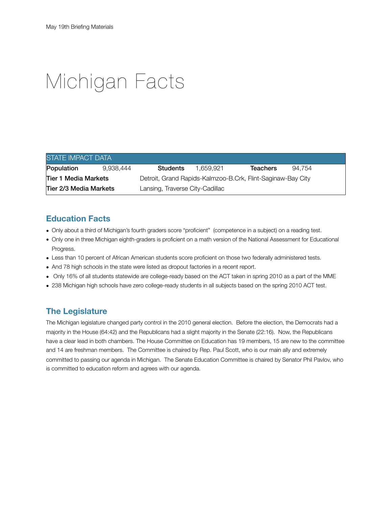# <span id="page-9-0"></span>Michigan Facts

| <b>STATE IMPACT DATA</b>                                  |           |                                                             |           |                 |        |  |
|-----------------------------------------------------------|-----------|-------------------------------------------------------------|-----------|-----------------|--------|--|
| Population                                                | 9.938.444 | <b>Students</b>                                             | 1.659.921 | <b>Teachers</b> | 94.754 |  |
| Tier 1 Media Markets                                      |           | Detroit, Grand Rapids-Kalmzoo-B.Crk, Flint-Saginaw-Bay City |           |                 |        |  |
| Tier 2/3 Media Markets<br>Lansing, Traverse City-Cadillac |           |                                                             |           |                 |        |  |

### <span id="page-9-1"></span>**Education Facts**

- Only about a third of Michigan's fourth graders score "proficient" (competence in a subject) on a reading test.
- Only one in three Michigan eighth-graders is proficient on a math version of the National Assessment for Educational Progress.
- Less than 10 percent of African American students score proficient on those two federally administered tests.
- And 78 high schools in the state were listed as dropout factories in a recent report.
- Only 16% of all students statewide are college-ready based on the ACT taken in spring 2010 as a part of the MME
- 238 Michigan high schools have zero college-ready students in all subjects based on the spring 2010 ACT test.

## <span id="page-9-2"></span>**The Legislature**

The Michigan legislature changed party control in the 2010 general election. Before the election, the Democrats had a majority in the House (64:42) and the Republicans had a slight majority in the Senate (22:16). Now, the Republicans have a clear lead in both chambers. The House Committee on Education has 19 members, 15 are new to the committee and 14 are freshman members. The Committee is chaired by Rep. Paul Scott, who is our main ally and extremely committed to passing our agenda in Michigan. The Senate Education Committee is chaired by Senator Phil Pavlov, who is committed to education reform and agrees with our agenda.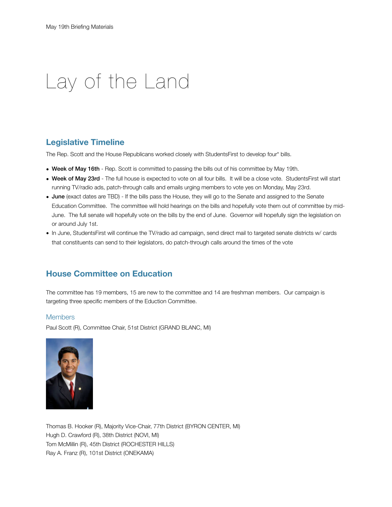# <span id="page-10-0"></span>Lay of the Land

### <span id="page-10-1"></span>**Legislative Timeline**

The Rep. Scott and the House Republicans worked closely with StudentsFirst to develop four\* bills.

- Week of May 16th Rep. Scott is committed to passing the bills out of his committee by May 19th.
- Week of May 23rd The full house is expected to vote on all four bills. It will be a close vote. StudentsFirst will start running TV/radio ads, patch-through calls and emails urging members to vote yes on Monday, May 23rd.
- June (exact dates are TBD) If the bills pass the House, they will go to the Senate and assigned to the Senate Education Committee. The committee will hold hearings on the bills and hopefully vote them out of committee by mid-June. The full senate will hopefully vote on the bills by the end of June. Governor will hopefully sign the legislation on or around July 1st.
- In June, StudentsFirst will continue the TV/radio ad campaign, send direct mail to targeted senate districts w/ cards that constituents can send to their legislators, do patch-through calls around the times of the vote

### <span id="page-10-2"></span>**House Committee on Education**

The committee has 19 members, 15 are new to the committee and 14 are freshman members. Our campaign is targeting three specific members of the Eduction Committee.

#### <span id="page-10-3"></span>**Members**

[Paul Scott \(](http://www.gophouse.com/welcome.asp?District=051)R), Committee Chair, 51st District (GRAND BLANC, MI)



[Thomas B. Hooker](http://www.gophouse.com/welcome.asp?District=077) (R), Majority Vice-Chair, 77th District (BYRON CENTER, MI) [Hugh D. Crawford \(](http://www.gophouse.com/welcome.asp?District=038)R), 38th District (NOVI, MI) [Tom McMillin \(](http://www.gophouse.com/welcome.asp?District=045)R), 45th District (ROCHESTER HILLS) [Ray A. Franz](http://www.gophouse.com/welcome.asp?District=101) (R), 101st District (ONEKAMA)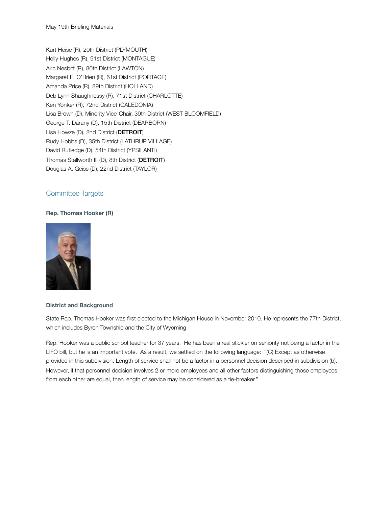[Kurt Heise](http://www.gophouse.com/welcome.asp?District=020) (R), 20th District (PLYMOUTH) [Holly Hughes](http://www.gophouse.com/welcome.asp?District=091) (R), 91st District (MONTAGUE) [Aric Nesbitt](http://www.gophouse.com/welcome.asp?District=080) (R), 80th District (LAWTON) [Margaret E. O'Brien](http://www.gophouse.com/welcome.asp?District=061) (R), 61st District (PORTAGE) [Amanda Price](http://www.gophouse.com/welcome.asp?District=089) (R), 89th District (HOLLAND) [Deb Lynn Shaughnessy](http://www.gophouse.com/welcome.asp?District=071) (R), 71st District (CHARLOTTE) [Ken Yonker](http://www.gophouse.com/welcome.asp?District=072) (R), 72nd District (CALEDONIA) [Lisa Brown \(](http://039.housedems.com/)D), Minority Vice-Chair, 39th District (WEST BLOOMFIELD) [George T. Darany](http://015.housedems.com/) (D), 15th District (DEARBORN) [Lisa Howze](http://002.housedems.com/) (D), 2nd District (DETROIT) [Rudy Hobbs](http://035.housedems.com/) (D), 35th District (LATHRUP VILLAGE) [David Rutledge](http://054.housedems.com/) (D), 54th District (YPSILANTI) [Thomas Stallworth III](http://008.housedems.com/) (D), 8th District (DETROIT) [Douglas A. Geiss](http://022.housedems.com/) (D), 22nd District (TAYLOR)

#### <span id="page-11-0"></span>Committee Targets

#### **Rep. Thomas Hooker (R)**



#### **District and Background**

State Rep. Thomas Hooker was first elected to the Michigan House in November 2010. He represents the 77th District, which includes Byron Township and the City of Wyoming.

Rep. Hooker was a public school teacher for 37 years. He has been a real stickler on seniority not being a factor in the LIFO bill, but he is an important vote. As a result, we settled on the following language: "(C) Except as otherwise provided in this subdivision, Length of service shall not be a factor in a personnel decision described in subdivision (b). However, if that personnel decision involves 2 or more employees and all other factors distinguishing those employees from each other are equal, then length of service may be considered as a tie-breaker."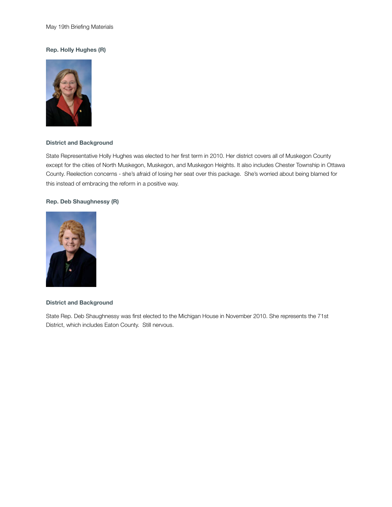#### **Rep. Holly Hughes (R)**



#### **District and Background**

State Representative Holly Hughes was elected to her first term in 2010. Her district covers all of Muskegon County except for the cities of North Muskegon, Muskegon, and Muskegon Heights. It also includes Chester Township in Ottawa County. Reelection concerns - she's afraid of losing her seat over this package. She's worried about being blamed for this instead of embracing the reform in a positive way.

#### **Rep. Deb Shaughnessy (R)**



#### **District and Background**

State Rep. Deb Shaughnessy was first elected to the Michigan House in November 2010. She represents the 71st District, which includes Eaton County. Still nervous.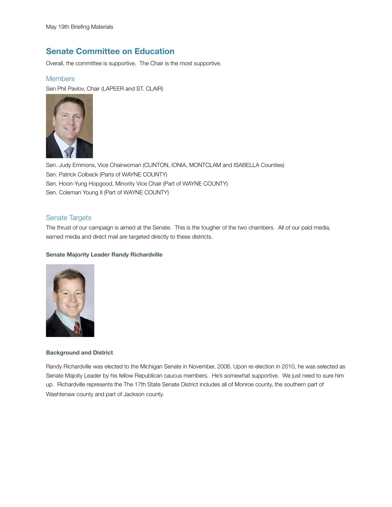### <span id="page-13-0"></span>**Senate Committee on Education**

Overall, the committee is supportive. The Chair is the most supportive.

#### <span id="page-13-1"></span>**Members**

Sen Phil Pavlov, Chair (LAPEER and ST. CLAIR)



Sen. Judy Emmons, Vice Chairwoman (CLINTON, IONIA, MONTCLAM and ISABELLA Counties) Sen. Patrick Colbeck (Parts of WAYNE COUNTY) Sen. Hoon-Yung Hopgood, Minority Vice Chair (Part of WAYNE COUNTY) Sen. Coleman Young II (Part of WAYNE COUNTY)

#### <span id="page-13-2"></span>Senate Targets

The thrust of our campaign is aimed at the Senate. This is the tougher of the two chambers. All of our paid media, earned media and direct mail are targeted directly to these districts.

#### **Senate Majority Leader Randy Richardville**



#### **Background and District**

Randy Richardville was elected to the Michigan Senate in November, 2006. Upon re-election in 2010, he was selected as Senate Majoity Leader by his fellow Republican caucus members. He's somewhat supportive. We just need to sure him up. Richardville represents the The 17th State Senate District includes all of Monroe county, the southern part of Washtenaw county and part of Jackson county.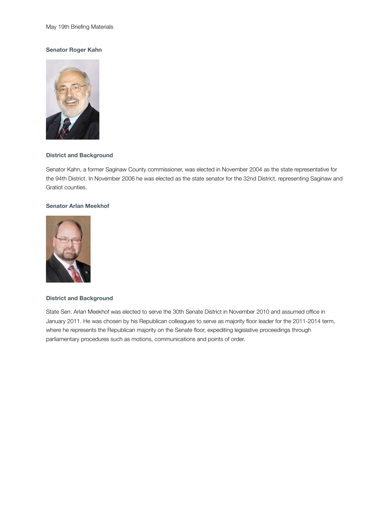#### **Senator Roger Kahn**



#### **District and Background**

Senator Kahn, a former Saginaw County commissioner, was elected in November 2004 as the state representative for the 94th District. In November 2006 he was elected as the state senator for the 32nd District, representing Saginaw and Gratiot counties.

#### **Senator Arlan Meekhof**



#### **District and Background**

State Sen. Arlan Meekhof was elected to serve the 30th Senate District in November 2010 and assumed office in January 2011. He was chosen by his Republican colleagues to serve as majority floor leader for the 2011-2014 term, where he represents the Republican majority on the Senate floor, expediting legislative proceedings through parliamentary procedures such as motions, communications and points of order.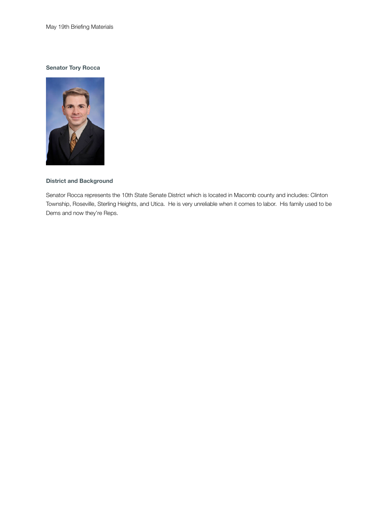#### **Senator Tory Rocca**



#### **District and Background**

Senator Rocca represents the 10th State Senate District which is located in Macomb county and includes: Clinton Township, Roseville, Sterling Heights, and Utica. He is very unreliable when it comes to labor. His family used to be Dems and now they're Reps.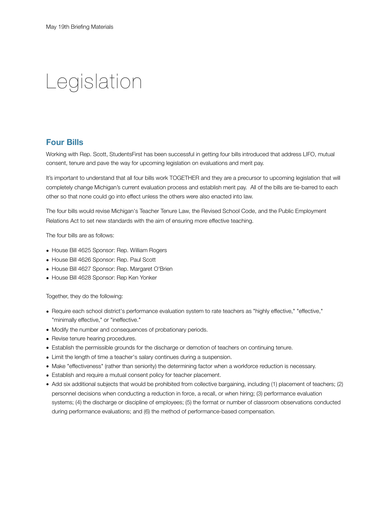# <span id="page-16-0"></span>Legislation

### <span id="page-16-1"></span>**Four Bills**

Working with Rep. Scott, StudentsFirst has been successful in getting four bills introduced that address LIFO, mutual consent, tenure and pave the way for upcoming legislation on evaluations and merit pay.

It's important to understand that all four bills work TOGETHER and they are a precursor to upcoming legislation that will completely change Michigan's current evaluation process and establish merit pay. All of the bills are tie-barred to each other so that none could go into effect unless the others were also enacted into law.

The four bills would revise Michigan's Teacher Tenure Law, the Revised School Code, and the Public Employment Relations Act to set new standards with the aim of ensuring more effective teaching.

The four bills are as follows:

- House Bill 4625 Sponsor: Rep. William Rogers
- House Bill 4626 Sponsor: Rep. Paul Scott
- House Bill 4627 Sponsor: Rep. Margaret O'Brien
- House Bill 4628 Sponsor: Rep Ken Yonker

Together, they do the following:

- Require each school district's performance evaluation system to rate teachers as "highly effective," "effective," "minimally effective," or "ineffective."
- Modify the number and consequences of probationary periods.
- Revise tenure hearing procedures.
- Establish the permissible grounds for the discharge or demotion of teachers on continuing tenure.
- Limit the length of time a teacher's salary continues during a suspension.
- Make "effectiveness" (rather than seniority) the determining factor when a workforce reduction is necessary.
- Establish and require a mutual consent policy for teacher placement.
- Add six additional subjects that would be prohibited from collective bargaining, including (1) placement of teachers; (2) personnel decisions when conducting a reduction in force, a recall, or when hiring; (3) performance evaluation systems; (4) the discharge or discipline of employees; (5) the format or number of classroom observations conducted during performance evaluations; and (6) the method of performance-based compensation.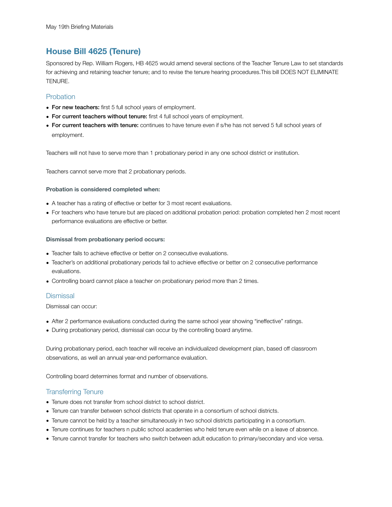### <span id="page-17-0"></span>**House Bill 4625 (Tenure)**

Sponsored by Rep. William Rogers, HB 4625 would amend several sections of the Teacher Tenure Law to set standards for achieving and retaining teacher tenure; and to revise the tenure hearing procedures.This bill DOES NOT ELIMINATE TENURE.

#### <span id="page-17-1"></span>Probation

- For new teachers: first 5 full school years of employment.
- For current teachers without tenure: first 4 full school years of employment.
- For current teachers with tenure: continues to have tenure even if s/he has not served 5 full school years of employment.

Teachers will not have to serve more than 1 probationary period in any one school district or institution.

Teachers cannot serve more that 2 probationary periods.

#### **Probation is considered completed when:**

- A teacher has a rating of effective or better for 3 most recent evaluations.
- For teachers who have tenure but are placed on additional probation period: probation completed hen 2 most recent performance evaluations are effective or better.

#### **Dismissal from probationary period occurs:**

- Teacher fails to achieve effective or better on 2 consecutive evaluations.
- Teacher's on additional probationary periods fail to achieve effective or better on 2 consecutive performance evaluations.
- Controlling board cannot place a teacher on probationary period more than 2 times.

#### <span id="page-17-2"></span>**Dismissal**

Dismissal can occur:

- After 2 performance evaluations conducted during the same school year showing "ineffective" ratings.
- During probationary period, dismissal can occur by the controlling board anytime.

During probationary period, each teacher will receive an individualized development plan, based off classroom observations, as well an annual year-end performance evaluation.

Controlling board determines format and number of observations.

#### <span id="page-17-3"></span>Transferring Tenure

- Tenure does not transfer from school district to school district.
- Tenure can transfer between school districts that operate in a consortium of school districts.
- Tenure cannot be held by a teacher simultaneously in two school districts participating in a consortium.
- Tenure continues for teachers n public school academies who held tenure even while on a leave of absence.
- Tenure cannot transfer for teachers who switch between adult education to primary/secondary and vice versa.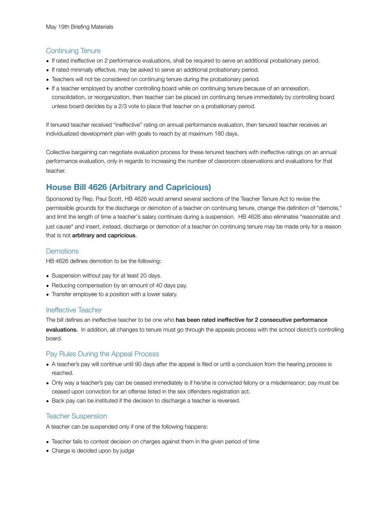#### <span id="page-18-0"></span>Continuing Tenure

- If rated ineffective on 2 performance evaluations, shall be required to serve an additional probationary period.
- If rated minimally effective, may be asked to serve an additional probationary period.
- Teachers will not be considered on continuing tenure during the probationary period.
- If a teacher employed by another controlling board while on continuing tenure because of an annexation, consolidation, or reorganization, then teacher can be placed on continuing tenure immediately by controlling board unless board decides by a 2/3 vote to place that teacher on a probationary period.

If tenured teacher received "ineffective" rating on annual performance evaluation, then tenured teacher receives an individualized development plan with goals to reach by at maximum 180 days.

Collective bargaining can negotiate evaluation process for these tenured teachers with ineffective ratings on an annual performance evaluation, only in regards to increasing the number of classroom observations and evaluations for that teacher.

# <span id="page-18-1"></span>**House Bill 4626 (Arbitrary and Capricious)**

Sponsored by Rep. Paul Scott, HB 4626 would amend several sections of the Teacher Tenure Act to revise the permissible grounds for the discharge or demotion of a teacher on continuing tenure, change the definition of "demote," and limit the length of time a teacher's salary continues during a suspension. HB 4626 also eliminates "reasonable and just cause" and insert, instead, discharge or demotion of a teacher on continuing tenure may be made only for a reason that is not arbitrary and capricious.

#### <span id="page-18-2"></span>**Demotions**

HB 4626 defines demotion to be the following:

- Suspension without pay for at least 20 days.
- Reducing compensation by an amount of 40 days pay.
- Transfer employee to a position with a lower salary.

#### <span id="page-18-3"></span>Ineffective Teacher

The bill defines an ineffective teacher to be one who has been rated ineffective for 2 consecutive performance evaluations. In addition, all changes to tenure must go through the appeals process with the school district's controlling board.

#### <span id="page-18-4"></span>Pay Rules During the Appeal Process

- A teacher's pay will continue until 90 days after the appeal is filed or until a conclusion from the hearing process is reached.
- Only way a teacher's pay can be ceased immediately is if he/she is convicted felony or a misdemeanor; pay must be ceased upon conviction for an offense listed in the sex offenders registration act.
- Back pay can be instituted if the decision to discharge a teacher is reversed.

#### <span id="page-18-5"></span>Teacher Suspension

A teacher can be suspended only if one of the following happens:

- Teacher fails to contest decision on charges against them in the given period of time
- Charge is decided upon by judge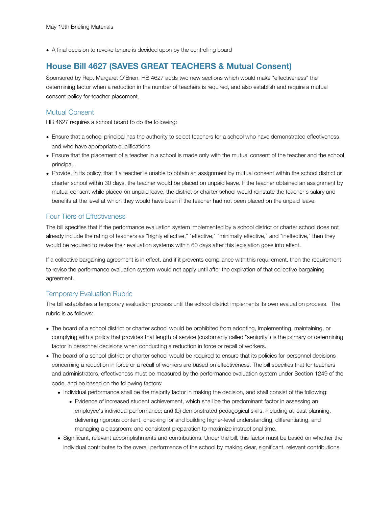• A final decision to revoke tenure is decided upon by the controlling board

# <span id="page-19-0"></span>**House Bill 4627 (SAVES GREAT TEACHERS & Mutual Consent)**

Sponsored by Rep. Margaret O'Brien, HB 4627 adds two new sections which would make "effectiveness" the determining factor when a reduction in the number of teachers is required, and also establish and require a mutual consent policy for teacher placement.

#### <span id="page-19-1"></span>Mutual Consent

HB 4627 requires a school board to do the following:

- Ensure that a school principal has the authority to select teachers for a school who have demonstrated effectiveness and who have appropriate qualifications.
- Ensure that the placement of a teacher in a school is made only with the mutual consent of the teacher and the school principal.
- Provide, in its policy, that if a teacher is unable to obtain an assignment by mutual consent within the school district or charter school within 30 days, the teacher would be placed on unpaid leave. If the teacher obtained an assignment by mutual consent while placed on unpaid leave, the district or charter school would reinstate the teacher's salary and benefits at the level at which they would have been if the teacher had not been placed on the unpaid leave.

#### <span id="page-19-2"></span>Four Tiers of Effectiveness

The bill specifies that if the performance evaluation system implemented by a school district or charter school does not already include the rating of teachers as "highly effective," "effective," "minimally effective," and "ineffective," then they would be required to revise their evaluation systems within 60 days after this legislation goes into effect.

If a collective bargaining agreement is in effect, and if it prevents compliance with this requirement, then the requirement to revise the performance evaluation system would not apply until after the expiration of that collective bargaining agreement.

#### <span id="page-19-3"></span>Temporary Evaluation Rubric

The bill establishes a temporary evaluation process until the school district implements its own evaluation process. The rubric is as follows:

- The board of a school district or charter school would be prohibited from adopting, implementing, maintaining, or complying with a policy that provides that length of service (customarily called "seniority") is the primary or determining factor in personnel decisions when conducting a reduction in force or recall of workers.
- The board of a school district or charter school would be required to ensure that its policies for personnel decisions concerning a reduction in force or a recall of workers are based on effectiveness. The bill specifies that for teachers and administrators, effectiveness must be measured by the performance evaluation system under Section 1249 of the code, and be based on the following factors:
	- Individual performance shall be the majority factor in making the decision, and shall consist of the following:
		- Evidence of increased student achievement, which shall be the predominant factor in assessing an employee's individual performance; and (b) demonstrated pedagogical skills, including at least planning, delivering rigorous content, checking for and building higher-level understanding, differentiating, and managing a classroom; and consistent preparation to maximize instructional time.
	- Significant, relevant accomplishments and contributions. Under the bill, this factor must be based on whether the individual contributes to the overall performance of the school by making clear, significant, relevant contributions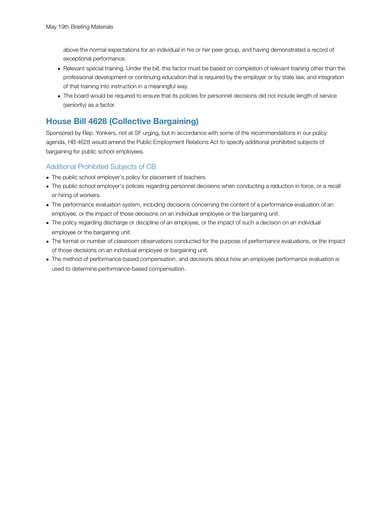above the normal expectations for an individual in his or her peer group, and having demonstrated a record of exceptional performance.

- Relevant special training. Under the bill, this factor must be based on completion of relevant training other than the professional development or continuing education that is required by the employer or by state law, and integration of that training into instruction in a meaningful way.
- The board would be required to ensure that its policies for personnel decisions did not include length of service (seniority) as a factor.

# <span id="page-20-0"></span>**House Bill 4628 (Collective Bargaining)**

Sponsored by Rep. Yonkers, not at SF urging, but in accordance with some of the recommendations in our policy agenda, HB 4628 would amend the Public Employment Relations Act to specify additional prohibited subjects of bargaining for public school employees.

#### <span id="page-20-1"></span>Additional Prohibited Subjects of CB

- The public school employer's policy for placement of teachers.
- The public school employer's policies regarding personnel decisions when conducting a reduction in force, or a recall or hiring of workers.
- The performance evaluation system, including decisions concerning the content of a performance evaluation of an employee, or the impact of those decisions on an individual employee or the bargaining unit.
- The policy regarding discharge or discipline of an employee, or the impact of such a decision on an individual employee or the bargaining unit.
- The format or number of classroom observations conducted for the purpose of performance evaluations, or the impact of those decisions on an individual employee or bargaining unit.
- The method of performance-based compensation, and decisions about how an employee performance evaluation is used to determine performance-based compensation.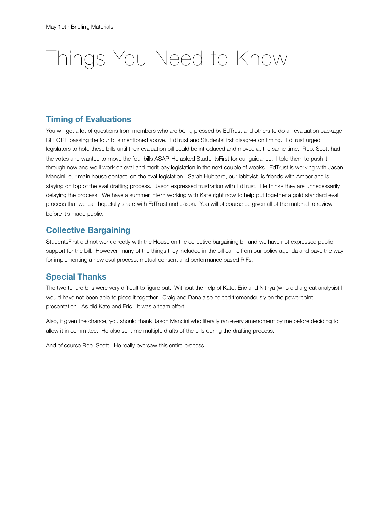# Things You Need to Know

### **Timing of Evaluations**

You will get a lot of questions from members who are being pressed by EdTrust and others to do an evaluation package BEFORE passing the four bills mentioned above. EdTrust and StudentsFirst disagree on timing. EdTrust urged legislators to hold these bills until their evaluation bill could be introduced and moved at the same time. Rep. Scott had the votes and wanted to move the four bills ASAP. He asked StudentsFirst for our guidance. I told them to push it through now and we'll work on eval and merit pay legislation in the next couple of weeks. EdTrust is working with Jason Mancini, our main house contact, on the eval legislation. Sarah Hubbard, our lobbyist, is friends with Amber and is staying on top of the eval drafting process. Jason expressed frustration with EdTrust. He thinks they are unnecessarily delaying the process. We have a summer intern working with Kate right now to help put together a gold standard eval process that we can hopefully share with EdTrust and Jason. You will of course be given all of the material to review before it's made public.

### **Collective Bargaining**

StudentsFirst did not work directly with the House on the collective bargaining bill and we have not expressed public support for the bill. However, many of the things they included in the bill came from our policy agenda and pave the way for implementing a new eval process, mutual consent and performance based RIFs.

## **Special Thanks**

The two tenure bills were very difficult to figure out. Without the help of Kate, Eric and Nithya (who did a great analysis) I would have not been able to piece it together. Craig and Dana also helped tremendously on the powerpoint presentation. As did Kate and Eric. It was a team effort.

Also, if given the chance, you should thank Jason Mancini who literally ran every amendment by me before deciding to allow it in committee. He also sent me multiple drafts of the bills during the drafting process.

And of course Rep. Scott. He really oversaw this entire process.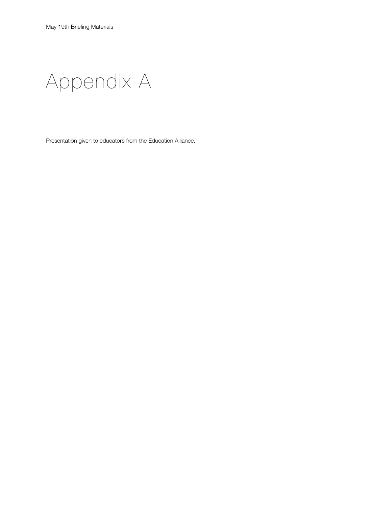Appendix A

Presentation given to educators from the Education Alliance.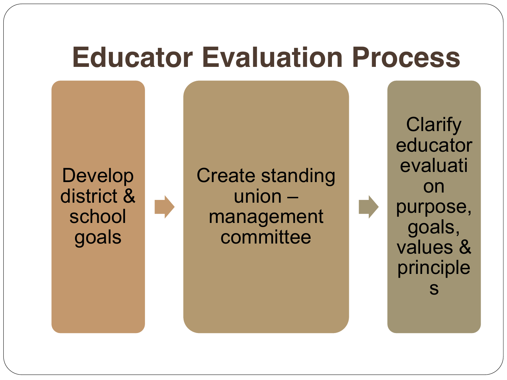Develop district & school goals

Create standing  $union$ management committee

**Clarify** educator evaluati on purpose, goals, values & principle s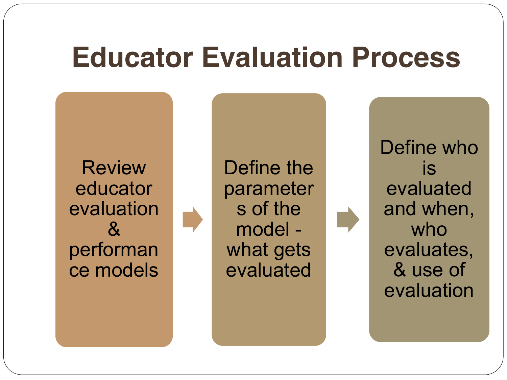**Review** educator evaluation & performan ce models Define the parameter s of the model what gets evaluated

Define who is evaluated and when, who evaluates, & use of evaluation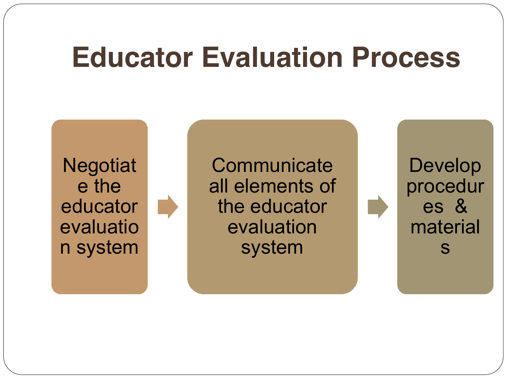**Negotiat** e the educator evaluatio n system

**Communicate** all elements of the educator evaluation system

Develop procedur es & material s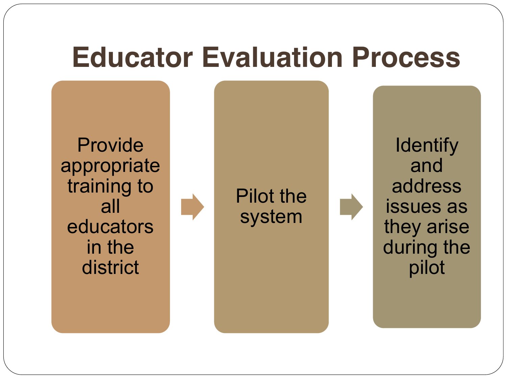Provide appropriate training to all educators in the district



Pilot the system

**Identify** 

and

address

issues as

they arise

during the

pilot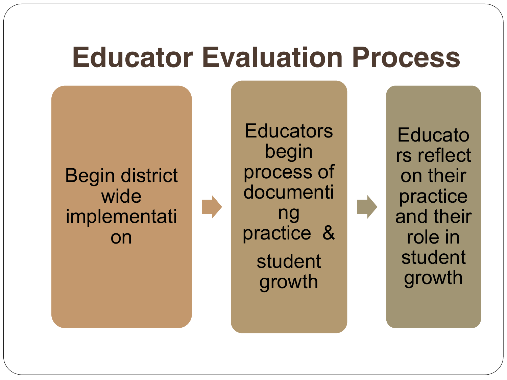Begin district wide implementati on

**Educators** begin process of documenti ng practice & student growth

Educato rs reflect on their practice and their role in student growth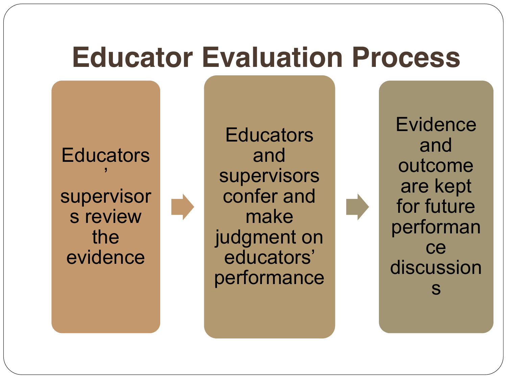**Educators**  $^{\prime}$ supervisor s review the evidence

**Educators** and supervisors confer and make judgment on educators' performance

**Evidence** and outcome are kept for future performan ce discussion s